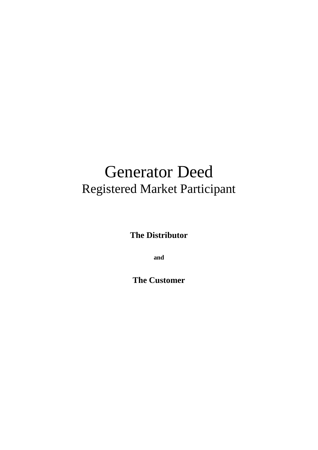# Generator Deed Registered Market Participant

**The Distributor**

**and**

**The Customer**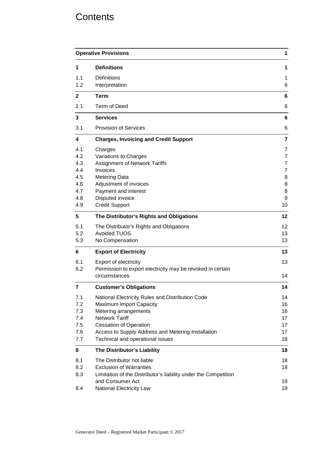# **Contents**

| <b>Operative Provisions</b><br>$\mathbf 1$                  |                                                                                                                                                                                                                                                          |                                                                                   |  |
|-------------------------------------------------------------|----------------------------------------------------------------------------------------------------------------------------------------------------------------------------------------------------------------------------------------------------------|-----------------------------------------------------------------------------------|--|
| 1                                                           | <b>Definitions</b>                                                                                                                                                                                                                                       | 1                                                                                 |  |
| 1.1<br>1.2                                                  | <b>Definitions</b><br>Interpretation                                                                                                                                                                                                                     | 1<br>6                                                                            |  |
| $\mathbf{2}$                                                | Term                                                                                                                                                                                                                                                     | 6                                                                                 |  |
| 2.1                                                         | Term of Deed                                                                                                                                                                                                                                             | 6                                                                                 |  |
| 3                                                           | <b>Services</b>                                                                                                                                                                                                                                          | 6                                                                                 |  |
| 3.1                                                         | <b>Provision of Services</b>                                                                                                                                                                                                                             | 6                                                                                 |  |
| $\overline{\mathbf{4}}$                                     | <b>Charges, Invoicing and Credit Support</b>                                                                                                                                                                                                             | $\overline{7}$                                                                    |  |
| 4.1<br>4.2<br>4.3<br>4.4<br>4.5<br>4.6<br>4.7<br>4.8<br>4.9 | Charges<br>Variations to Charges<br>Assignment of Network Tariffs<br>Invoices<br><b>Metering Data</b><br>Adjustment of invoices<br>Payment and interest<br>Disputed invoice<br><b>Credit Support</b>                                                     | 7<br>$\overline{7}$<br>$\overline{7}$<br>$\overline{7}$<br>8<br>8<br>8<br>9<br>10 |  |
| 5                                                           | The Distributor's Rights and Obligations                                                                                                                                                                                                                 | 12                                                                                |  |
| 5.1<br>5.2<br>5.3                                           | The Distributor's Rights and Obligations<br><b>Avoided TUOS</b><br>No Compensation                                                                                                                                                                       | 12<br>13<br>13                                                                    |  |
| 6                                                           | <b>Export of Electricity</b>                                                                                                                                                                                                                             | 13                                                                                |  |
| 6.1<br>6.2                                                  | Export of electricity<br>Permission to export electricity may be revoked in certain<br>circumstances                                                                                                                                                     | 13<br>14                                                                          |  |
| 7                                                           | <b>Customer's Obligations</b>                                                                                                                                                                                                                            | 14                                                                                |  |
| 7.1<br>7.2<br>7.3<br>7.4<br>7.5<br>7.6<br>7.7               | National Electricity Rules and Distribution Code<br>Maximum Import Capacity<br>Metering arrangements<br><b>Network Tariff</b><br><b>Cessation of Operation</b><br>Access to Supply Address and Metering Installation<br>Technical and operational issues | 14<br>16<br>16<br>17<br>17<br>17<br>18                                            |  |
| 8                                                           | The Distributor's Liability                                                                                                                                                                                                                              | 18                                                                                |  |
| 8.1<br>8.2<br>8.3                                           | The Distributor not liable<br><b>Exclusion of Warranties</b><br>Limitation of the Distributor's liability under the Competition<br>and Consumer Act                                                                                                      | 18<br>18<br>18<br>19                                                              |  |
| 8.4                                                         | National Electricity Law                                                                                                                                                                                                                                 |                                                                                   |  |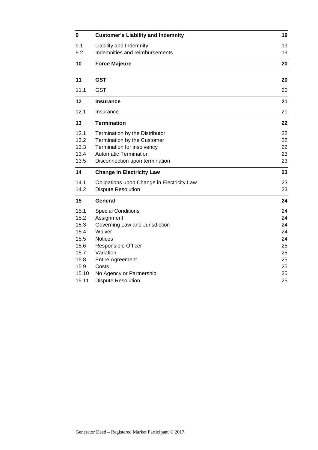| 9     | <b>Customer's Liability and Indemnity</b>  | 19 |
|-------|--------------------------------------------|----|
| 9.1   | Liability and Indemnity                    | 19 |
| 9.2   | Indemnities and reimbursements             | 19 |
| 10    | <b>Force Majeure</b>                       | 20 |
| 11    | <b>GST</b>                                 | 20 |
| 11.1  | <b>GST</b>                                 | 20 |
| 12    | <b>Insurance</b>                           | 21 |
| 12.1  | Insurance                                  | 21 |
| 13    | <b>Termination</b>                         | 22 |
| 13.1  | Termination by the Distributor             | 22 |
| 13.2  | Termination by the Customer                | 22 |
| 13.3  | Termination for insolvency                 | 22 |
| 13.4  | <b>Automatic Termination</b>               | 23 |
| 13.5  | Disconnection upon termination             | 23 |
| 14    | <b>Change in Electricity Law</b>           | 23 |
| 14.1  | Obligations upon Change in Electricity Law | 23 |
| 14.2  | <b>Dispute Resolution</b>                  | 23 |
| 15    | <b>General</b>                             | 24 |
| 15.1  | <b>Special Conditions</b>                  | 24 |
| 15.2  | Assignment                                 | 24 |
| 15.3  | Governing Law and Jurisdiction             | 24 |
| 15.4  | Waiver                                     | 24 |
| 15.5  | <b>Notices</b>                             | 24 |
| 15.6  | <b>Responsible Officer</b>                 | 25 |
| 15.7  | Variation                                  | 25 |
| 15.8  | <b>Entire Agreement</b>                    | 25 |
| 15.9  | Costs                                      | 25 |
| 15.10 | No Agency or Partnership                   | 25 |
| 15.11 | <b>Dispute Resolution</b>                  | 25 |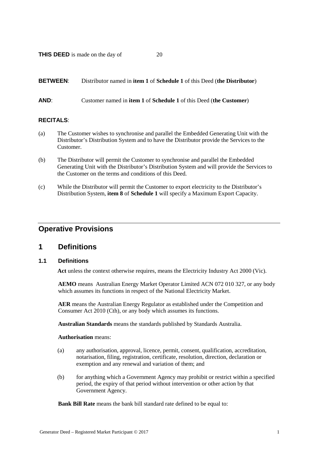**THIS DEED** is made on the day of 20

### **BETWEEN**: Distributor named in **item 1** of **Schedule 1** of this Deed (**the Distributor**)

### **AND**: Customer named in **item 1** of **Schedule 1** of this Deed (**the Customer**)

### **RECITALS**:

- (a) The Customer wishes to synchronise and parallel the Embedded Generating Unit with the Distributor's Distribution System and to have the Distributor provide the Services to the Customer.
- (b) The Distributor will permit the Customer to synchronise and parallel the Embedded Generating Unit with the Distributor's Distribution System and will provide the Services to the Customer on the terms and conditions of this Deed.
- (c) While the Distributor will permit the Customer to export electricity to the Distributor's Distribution System, **item 8** of **Schedule 1** will specify a Maximum Export Capacity.

### **Operative Provisions**

### **1 Definitions**

### **1.1 Definitions**

**Act** unless the context otherwise requires, means the Electricity Industry Act 2000 (Vic).

**AEMO** means Australian Energy Market Operator Limited ACN 072 010 327, or any body which assumes its functions in respect of the National Electricity Market.

**AER** means the Australian Energy Regulator as established under the Competition and Consumer Act 2010 (Cth), or any body which assumes its functions.

**Australian Standards** means the standards published by Standards Australia.

#### **Authorisation** means:

- (a) any authorisation, approval, licence, permit, consent, qualification, accreditation, notarisation, filing, registration, certificate, resolution, direction, declaration or exemption and any renewal and variation of them; and
- (b) for anything which a Government Agency may prohibit or restrict within a specified period, the expiry of that period without intervention or other action by that Government Agency.

**Bank Bill Rate** means the bank bill standard rate defined to be equal to: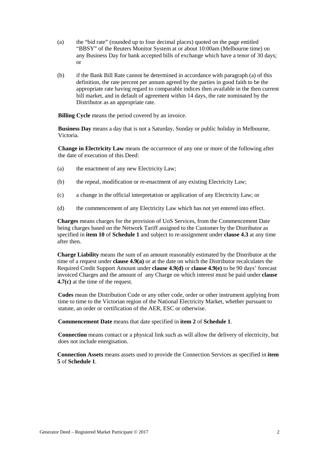- (a) the "bid rate" (rounded up to four decimal places) quoted on the page entitled "BBSY" of the Reuters Monitor System at or about 10:00am (Melbourne time) on any Business Day for bank accepted bills of exchange which have a tenor of 30 days; or
- (b) if the Bank Bill Rate cannot be determined in accordance with paragraph (a) of this definition, the rate percent per annum agreed by the parties in good faith to be the appropriate rate having regard to comparable indices then available in the then current bill market, and in default of agreement within 14 days, the rate nominated by the Distributor as an appropriate rate.

**Billing Cycle** means the period covered by an invoice.

**Business Day** means a day that is not a Saturday, Sunday or public holiday in Melbourne, Victoria.

**Change in Electricity Law** means the occurrence of any one or more of the following after the date of execution of this Deed:

- (a) the enactment of any new Electricity Law;
- (b) the repeal, modification or re-enactment of any existing Electricity Law;
- (c) a change in the official interpretation or application of any Electricity Law; or
- (d) the commencement of any Electricity Law which has not yet entered into effect.

**Charges** means charges for the provision of UoS Services, from the Commencement Date being charges based on the Network Tariff assigned to the Customer by the Distributor as specified in **item 10** of **Schedule 1** and subject to re-assignment under **clause [4.3](#page-9-0)** at any time after then.

**Charge Liability** means the sum of an amount reasonably estimated by the Distributor at the time of a request under **clause [4.9\(a\)](#page-12-0)** or at the date on which the Distributor recalculates the Required Credit Support Amount under **clause [4.9\(d\)](#page-13-0)** or **claus[e 4.9\(e\)](#page-13-1)** to be 90 days' forecast invoiced Charges and the amount of any Charge on which interest must be paid under **clause [4.7\(c\)](#page-11-0)** at the time of the request.

**Codes** mean the Distribution Code or any other code, order or other instrument applying from time to time to the Victorian region of the National Electricity Market, whether pursuant to statute, an order or certification of the AER, ESC or otherwise.

**Commencement Date** means that date specified in **item 2** of **Schedule 1**.

**Connection** means contact or a physical link such as will allow the delivery of electricity, but does not include energisation.

**Connection Assets** means assets used to provide the Connection Services as specified in **item 5** of **Schedule 1**.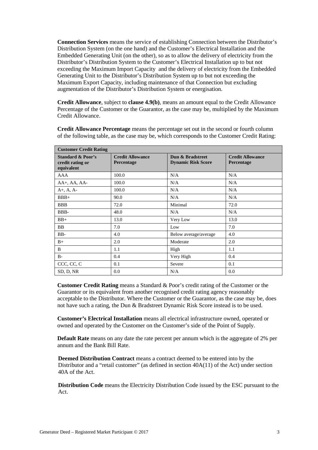**Connection Services** means the service of establishing Connection between the Distributor's Distribution System (on the one hand) and the Customer's Electrical Installation and the Embedded Generating Unit (on the other), so as to allow the delivery of electricity from the Distributor's Distribution System to the Customer's Electrical Installation up to but not exceeding the Maximum Import Capacity and the delivery of electricity from the Embedded Generating Unit to the Distributor's Distribution System up to but not exceeding the Maximum Export Capacity, including maintenance of that Connection but excluding augmentation of the Distributor's Distribution System or energisation.

**Credit Allowance**, subject to **clause [4.9\(b\)](#page-12-1)**, means an amount equal to the Credit Allowance Percentage of the Customer or the Guarantor, as the case may be, multiplied by the Maximum Credit Allowance.

**Customer Credit Rating Standard & Poor's credit rating or equivalent Credit Allowance Percentage Dun & Bradstreet Dynamic Risk Score Credit Allowance Percentage** AAA 100.0 N/A N/A N/A  $AA$ <sup>+</sup>,  $AA$ <sub>-</sub>  $AA$ <sup>-</sup>  $100.0$  N/A N/A N/A A+, A, A- 100.0 N/A N/A N/A  $BBB+$  90.0 N/A N/A N/A BBB 72.0 Minimal 72.0 BBB-  $|48.0 \t N/A$  N/A  $|N/A$ BB+ 13.0 Very Low 13.0 BB  $\vert 7.0 \vert$  Low  $\vert 7.0 \vert$  20 BB-  $4.0$  Below average/average 4.0 B+ 2.0 Moderate 2.0 B 1.1 High 1.1 1.1 High B- 0.4 Very High 0.4  $\text{CCC, CC, C}$  0.1 Severe 0.1 SD, D, NR  $\begin{bmatrix} 0.0 \\ 0.0 \end{bmatrix}$  N/A  $\begin{bmatrix} 0.0 \\ 0.0 \end{bmatrix}$  0.0

**Credit Allowance Percentage** means the percentage set out in the second or fourth column of the following table, as the case may be, which corresponds to the Customer Credit Rating:

**Customer Credit Rating** means a Standard & Poor's credit rating of the Customer or the Guarantor or its equivalent from another recognised credit rating agency reasonably acceptable to the Distributor. Where the Customer or the Guarantor, as the case may be, does not have such a rating, the Dun & Bradstreet Dynamic Risk Score instead is to be used.

**Customer's Electrical Installation** means all electrical infrastructure owned, operated or owned and operated by the Customer on the Customer's side of the Point of Supply.

**Default Rate** means on any date the rate percent per annum which is the aggregate of 2% per annum and the Bank Bill Rate.

**Deemed Distribution Contract** means a contract deemed to be entered into by the Distributor and a "retail customer" (as defined in section 40A(11) of the Act) under section 40A of the Act.

**Distribution Code** means the Electricity Distribution Code issued by the ESC pursuant to the Act.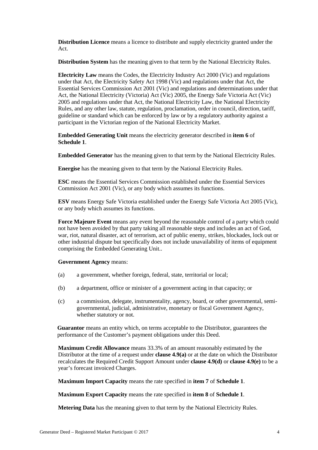**Distribution Licence** means a licence to distribute and supply electricity granted under the Act.

**Distribution System** has the meaning given to that term by the National Electricity Rules.

**Electricity Law** means the Codes, the Electricity Industry Act 2000 (Vic) and regulations under that Act, the Electricity Safety Act 1998 (Vic) and regulations under that Act, the Essential Services Commission Act 2001 (Vic) and regulations and determinations under that Act, the National Electricity (Victoria) Act (Vic) 2005, the Energy Safe Victoria Act (Vic) 2005 and regulations under that Act, the National Electricity Law, the National Electricity Rules, and any other law, statute, regulation, proclamation, order in council, direction, tariff, guideline or standard which can be enforced by law or by a regulatory authority against a participant in the Victorian region of the National Electricity Market.

**Embedded Generating Unit** means the electricity generator described in **item 6** of **Schedule 1**.

**Embedded Generator** has the meaning given to that term by the National Electricity Rules.

**Energise** has the meaning given to that term by the National Electricity Rules.

**ESC** means the Essential Services Commission established under the Essential Services Commission Act 2001 (Vic), or any body which assumes its functions.

**ESV** means Energy Safe Victoria established under the Energy Safe Victoria Act 2005 (Vic), or any body which assumes its functions.

**Force Majeure Event** means any event beyond the reasonable control of a party which could not have been avoided by that party taking all reasonable steps and includes an act of God, war, riot, natural disaster, act of terrorism, act of public enemy, strikes, blockades, lock out or other industrial dispute but specifically does not include unavailability of items of equipment comprising the Embedded Generating Unit..

#### **Government Agency** means:

- (a) a government, whether foreign, federal, state, territorial or local;
- (b) a department, office or minister of a government acting in that capacity; or
- (c) a commission, delegate, instrumentality, agency, board, or other governmental, semigovernmental, judicial, administrative, monetary or fiscal Government Agency, whether statutory or not.

**Guarantor** means an entity which, on terms acceptable to the Distributor, guarantees the performance of the Customer's payment obligations under this Deed.

**Maximum Credit Allowance** means 33.3% of an amount reasonably estimated by the Distributor at the time of a request under **clause [4.9\(a\)](#page-12-0)** or at the date on which the Distributor recalculates the Required Credit Support Amount under **claus[e 4.9\(d\)](#page-13-0)** or **clause [4.9\(e\)](#page-13-1)** to be a year's forecast invoiced Charges.

**Maximum Import Capacity** means the rate specified in **item 7** of **Schedule 1**.

**Maximum Export Capacity** means the rate specified in **item 8** of **Schedule 1**.

**Metering Data** has the meaning given to that term by the National Electricity Rules.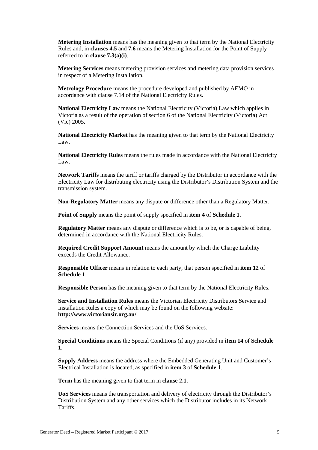**Metering Installation** means has the meaning given to that term by the National Electricity Rules and, in **clauses [4.5](#page-10-0)** and **[7.6](#page-19-0)** means the Metering Installation for the Point of Supply referred to in **clause [7.3\(a\)\(i\)](#page-18-0)**.

**Metering Services** means metering provision services and metering data provision services in respect of a Metering Installation.

**Metrology Procedure** means the procedure developed and published by AEMO in accordance with clause 7.14 of the National Electricity Rules.

**National Electricity Law** means the National Electricity (Victoria) Law which applies in Victoria as a result of the operation of section 6 of the National Electricity (Victoria) Act (Vic) 2005.

**National Electricity Market** has the meaning given to that term by the National Electricity Law.

**National Electricity Rules** means the rules made in accordance with the National Electricity Law.

**Network Tariffs** means the tariff or tariffs charged by the Distributor in accordance with the Electricity Law for distributing electricity using the Distributor's Distribution System and the transmission system.

**Non-Regulatory Matter** means any dispute or difference other than a Regulatory Matter.

**Point of Supply** means the point of supply specified in **item 4** of **Schedule 1**.

**Regulatory Matter** means any dispute or difference which is to be, or is capable of being, determined in accordance with the National Electricity Rules.

**Required Credit Support Amount** means the amount by which the Charge Liability exceeds the Credit Allowance.

**Responsible Officer** means in relation to each party, that person specified in **item 12** of **Schedule 1**.

**Responsible Person** has the meaning given to that term by the National Electricity Rules.

**Service and Installation Rules** means the Victorian Electricity Distributors Service and Installation Rules a copy of which may be found on the following website: **http://www.victoriansir.org.au/**.

**Services** means the Connection Services and the UoS Services.

**Special Conditions** means the Special Conditions (if any) provided in **item 14** of **Schedule 1**.

**Supply Address** means the address where the Embedded Generating Unit and Customer's Electrical Installation is located, as specified in **item 3** of **Schedule 1**.

**Term** has the meaning given to that term in **clause [2.1](#page-8-0)**.

**UoS Services** means the transportation and delivery of electricity through the Distributor's Distribution System and any other services which the Distributor includes in its Network Tariffs.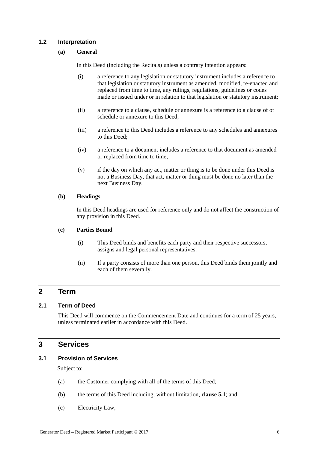### **1.2 Interpretation**

### **(a) General**

In this Deed (including the Recitals) unless a contrary intention appears:

- (i) a reference to any legislation or statutory instrument includes a reference to that legislation or statutory instrument as amended, modified, re-enacted and replaced from time to time, any rulings, regulations, guidelines or codes made or issued under or in relation to that legislation or statutory instrument;
- (ii) a reference to a clause, schedule or annexure is a reference to a clause of or schedule or annexure to this Deed;
- (iii) a reference to this Deed includes a reference to any schedules and annexures to this Deed;
- (iv) a reference to a document includes a reference to that document as amended or replaced from time to time;
- (v) if the day on which any act, matter or thing is to be done under this Deed is not a Business Day, that act, matter or thing must be done no later than the next Business Day.

### **(b) Headings**

In this Deed headings are used for reference only and do not affect the construction of any provision in this Deed.

### **(c) Parties Bound**

- (i) This Deed binds and benefits each party and their respective successors, assigns and legal personal representatives.
- (ii) If a party consists of more than one person, this Deed binds them jointly and each of them severally.

### **2 Term**

### <span id="page-8-0"></span>**2.1 Term of Deed**

This Deed will commence on the Commencement Date and continues for a term of 25 years, unless terminated earlier in accordance with this Deed.

### **3 Services**

### **3.1 Provision of Services**

Subject to:

- (a) the Customer complying with all of the terms of this Deed;
- (b) the terms of this Deed including, without limitation, **claus[e 5.1](#page-14-0)**; and
- (c) Electricity Law,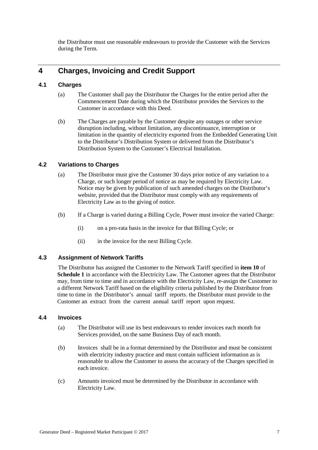the Distributor must use reasonable endeavours to provide the Customer with the Services during the Term.

### **4 Charges, Invoicing and Credit Support**

### **4.1 Charges**

- (a) The Customer shall pay the Distributor the Charges for the entire period after the Commencement Date during which the Distributor provides the Services to the Customer in accordance with this Deed.
- (b) The Charges are payable by the Customer despite any outages or other service disruption including, without limitation, any discontinuance, interruption or limitation in the quantity of electricity exported from the Embedded Generating Unit to the Distributor's Distribution System or delivered from the Distributor's Distribution System to the Customer's Electrical Installation.

### **4.2 Variations to Charges**

- (a) The Distributor must give the Customer 30 days prior notice of any variation to a Charge, or such longer period of notice as may be required by Electricity Law. Notice may be given by publication of such amended charges on the Distributor's website, provided that the Distributor must comply with any requirements of Electricity Law as to the giving of notice.
- (b) If a Charge is varied during a Billing Cycle, Power must invoice the varied Charge:
	- (i) on a pro-rata basis in the invoice for that Billing Cycle; or
	- (ii) in the invoice for the next Billing Cycle.

### <span id="page-9-0"></span>**4.3 Assignment of Network Tariffs**

The Distributor has assigned the Customer to the Network Tariff specified in **item 10** of **Schedule 1** in accordance with the Electricity Law. The Customer agrees that the Distributor may, from time to time and in accordance with the Electricity Law, re-assign the Customer to a different Network Tariff based on the eligibility criteria published by the Distributor from time to time in the Distributor's annual tariff reports. the Distributor must provide to the Customer an extract from the current annual tariff report upon request.

### **4.4 Invoices**

- (a) The Distributor will use its best endeavours to render invoices each month for Services provided, on the same Business Day of each month.
- (b) Invoices shall be in a format determined by the Distributor and must be consistent with electricity industry practice and must contain sufficient information as is reasonable to allow the Customer to assess the accuracy of the Charges specified in each invoice.
- (c) Amounts invoiced must be determined by the Distributor in accordance with Electricity Law.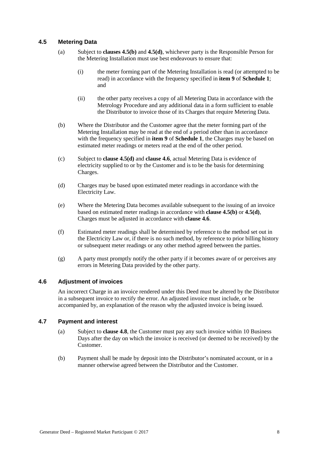### <span id="page-10-0"></span>**4.5 Metering Data**

- (a) Subject to **clauses [4.5\(b\)](#page-10-1)** and **[4.5\(d\)](#page-10-2)**, whichever party is the Responsible Person for the Metering Installation must use best endeavours to ensure that:
	- (i) the meter forming part of the Metering Installation is read (or attempted to be read) in accordance with the frequency specified in **item 9** of **Schedule 1**; and
	- (ii) the other party receives a copy of all Metering Data in accordance with the Metrology Procedure and any additional data in a form sufficient to enable the Distributor to invoice those of its Charges that require Metering Data.
- <span id="page-10-1"></span>(b) Where the Distributor and the Customer agree that the meter forming part of the Metering Installation may be read at the end of a period other than in accordance with the frequency specified in **item 9** of **Schedule 1**, the Charges may be based on estimated meter readings or meters read at the end of the other period.
- (c) Subject to **clause [4.5\(d\)](#page-10-2)** and **clause [4.6](#page-10-3)**, actual Metering Data is evidence of electricity supplied to or by the Customer and is to be the basis for determining Charges.
- <span id="page-10-2"></span>(d) Charges may be based upon estimated meter readings in accordance with the Electricity Law.
- (e) Where the Metering Data becomes available subsequent to the issuing of an invoice based on estimated meter readings in accordance with **clause [4.5\(b\)](#page-10-1)** or **[4.5\(d\)](#page-10-2)**, Charges must be adjusted in accordance with **clause [4.6](#page-10-3)**.
- (f) Estimated meter readings shall be determined by reference to the method set out in the Electricity Law or, if there is no such method, by reference to prior billing history or subsequent meter readings or any other method agreed between the parties.
- (g) A party must promptly notify the other party if it becomes aware of or perceives any errors in Metering Data provided by the other party.

### <span id="page-10-3"></span>**4.6 Adjustment of invoices**

An incorrect Charge in an invoice rendered under this Deed must be altered by the Distributor in a subsequent invoice to rectify the error. An adjusted invoice must include, or be accompanied by, an explanation of the reason why the adjusted invoice is being issued.

### <span id="page-10-4"></span>**4.7 Payment and interest**

- (a) Subject to **clause [4.8](#page-11-1)**, the Customer must pay any such invoice within 10 Business Days after the day on which the invoice is received (or deemed to be received) by the Customer.
- (b) Payment shall be made by deposit into the Distributor's nominated account, or in a manner otherwise agreed between the Distributor and the Customer.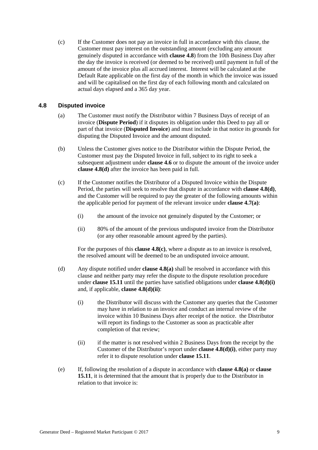<span id="page-11-0"></span>(c) If the Customer does not pay an invoice in full in accordance with this clause, the Customer must pay interest on the outstanding amount (excluding any amount genuinely disputed in accordance with **clause [4.8](#page-11-1)**) from the 10th Business Day after the day the invoice is received (or deemed to be received) until payment in full of the amount of the invoice plus all accrued interest. Interest will be calculated at the Default Rate applicable on the first day of the month in which the invoice was issued and will be capitalised on the first day of each following month and calculated on actual days elapsed and a 365 day year.

### <span id="page-11-4"></span><span id="page-11-1"></span>**4.8 Disputed invoice**

- (a) The Customer must notify the Distributor within 7 Business Days of receipt of an invoice (**Dispute Period**) if it disputes its obligation under this Deed to pay all or part of that invoice (**Disputed Invoice**) and must include in that notice its grounds for disputing the Disputed Invoice and the amount disputed.
- (b) Unless the Customer gives notice to the Distributor within the Dispute Period, the Customer must pay the Disputed Invoice in full, subject to its right to seek a subsequent adjustment under **clause [4.6](#page-10-3)** or to dispute the amount of the invoice under **clause [4.8\(d\)](#page-11-2)** after the invoice has been paid in full.
- <span id="page-11-3"></span>(c) If the Customer notifies the Distributor of a Disputed Invoice within the Dispute Period, the parties will seek to resolve that dispute in accordance with **clause [4.8\(d\)](#page-11-2)**, and the Customer will be required to pay the greater of the following amounts within the applicable period for payment of the relevant invoice under **clause [4.7\(a\)](#page-10-4)**:
	- (i) the amount of the invoice not genuinely disputed by the Customer; or
	- (ii) 80% of the amount of the previous undisputed invoice from the Distributor (or any other reasonable amount agreed by the parties).

For the purposes of this **clause [4.8\(c\)](#page-11-3)**, where a dispute as to an invoice is resolved, the resolved amount will be deemed to be an undisputed invoice amount.

- <span id="page-11-5"></span><span id="page-11-2"></span>(d) Any dispute notified under **clause [4.8\(a\)](#page-11-4)** shall be resolved in accordance with this clause and neither party may refer the dispute to the dispute resolution procedure under **clause [15.11](#page-27-0)** until the parties have satisfied obligations under **clause [4.8\(d\)\(i\)](#page-11-5)** and, if applicable, **clause [4.8\(d\)\(ii\)](#page-11-6)**:
	- (i) the Distributor will discuss with the Customer any queries that the Customer may have in relation to an invoice and conduct an internal review of the invoice within 10 Business Days after receipt of the notice. the Distributor will report its findings to the Customer as soon as practicable after completion of that review;
	- (ii) if the matter is not resolved within 2 Business Days from the receipt by the Customer of the Distributor's report under **clause [4.8\(d\)\(i\)](#page-11-5)**, either party may refer it to dispute resolution under **clause [15.11](#page-27-0)**.
- <span id="page-11-7"></span><span id="page-11-6"></span>(e) If, following the resolution of a dispute in accordance with **clause [4.8\(a\)](#page-11-4)** or **clause [15.11](#page-27-0)**, it is determined that the amount that is properly due to the Distributor in relation to that invoice is: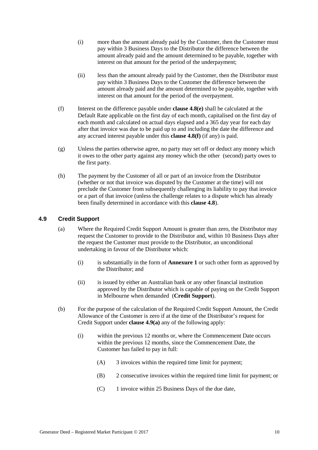- (i) more than the amount already paid by the Customer, then the Customer must pay within 3 Business Days to the Distributor the difference between the amount already paid and the amount determined to be payable, together with interest on that amount for the period of the underpayment;
- (ii) less than the amount already paid by the Customer, then the Distributor must pay within 3 Business Days to the Customer the difference between the amount already paid and the amount determined to be payable, together with interest on that amount for the period of the overpayment.
- <span id="page-12-2"></span>(f) Interest on the difference payable under **clause [4.8\(e\)](#page-11-7)** shall be calculated at the Default Rate applicable on the first day of each month, capitalised on the first day of each month and calculated on actual days elapsed and a 365 day year for each day after that invoice was due to be paid up to and including the date the difference and any accrued interest payable under this **clause [4.8\(f\)](#page-12-2)** (if any) is paid.
- (g) Unless the parties otherwise agree, no party may set off or deduct any money which it owes to the other party against any money which the other (second) party owes to the first party.
- (h) The payment by the Customer of all or part of an invoice from the Distributor (whether or not that invoice was disputed by the Customer at the time) will not preclude the Customer from subsequently challenging its liability to pay that invoice or a part of that invoice (unless the challenge relates to a dispute which has already been finally determined in accordance with this **clause [4.8](#page-11-1)**).

### <span id="page-12-0"></span>**4.9 Credit Support**

- (a) Where the Required Credit Support Amount is greater than zero, the Distributor may request the Customer to provide to the Distributor and, within 10 Business Days after the request the Customer must provide to the Distributor, an unconditional undertaking in favour of the Distributor which:
	- (i) is substantially in the form of **Annexure 1** or such other form as approved by the Distributor; and
	- (ii) is issued by either an Australian bank or any other financial institution approved by the Distributor which is capable of paying on the Credit Support in Melbourne when demanded (**Credit Support**).
- <span id="page-12-1"></span>(b) For the purpose of the calculation of the Required Credit Support Amount, the Credit Allowance of the Customer is zero if at the time of the Distributor's request for Credit Support under **clause [4.9\(a\)](#page-12-0)** any of the following apply:
	- (i) within the previous 12 months or, where the Commencement Date occurs within the previous 12 months, since the Commencement Date, the Customer has failed to pay in full:
		- (A) 3 invoices within the required time limit for payment;
		- (B) 2 consecutive invoices within the required time limit for payment; or
		- (C) 1 invoice within 25 Business Days of the due date,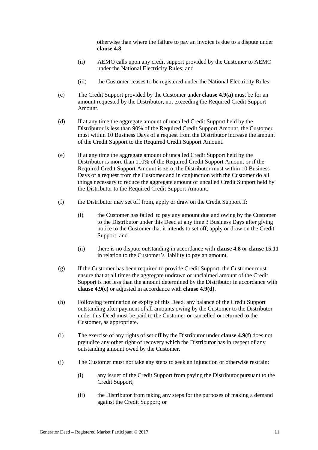otherwise than where the failure to pay an invoice is due to a dispute under **clause [4.8](#page-11-1)**;

- (ii) AEMO calls upon any credit support provided by the Customer to AEMO under the National Electricity Rules; and
- (iii) the Customer ceases to be registered under the National Electricity Rules.
- <span id="page-13-5"></span><span id="page-13-4"></span><span id="page-13-2"></span>(c) The Credit Support provided by the Customer under **clause [4.9\(a\)](#page-12-0)** must be for an amount requested by the Distributor, not exceeding the Required Credit Support Amount.
- <span id="page-13-0"></span>(d) If at any time the aggregate amount of uncalled Credit Support held by the Distributor is less than 90% of the Required Credit Support Amount, the Customer must within 10 Business Days of a request from the Distributor increase the amount of the Credit Support to the Required Credit Support Amount.
- <span id="page-13-1"></span>(e) If at any time the aggregate amount of uncalled Credit Support held by the Distributor is more than 110% of the Required Credit Support Amount or if the Required Credit Support Amount is zero, the Distributor must within 10 Business Days of a request from the Customer and in conjunction with the Customer do all things necessary to reduce the aggregate amount of uncalled Credit Support held by the Distributor to the Required Credit Support Amount.
- <span id="page-13-3"></span>(f) the Distributor may set off from, apply or draw on the Credit Support if:
	- (i) the Customer has failed to pay any amount due and owing by the Customer to the Distributor under this Deed at any time 3 Business Days after giving notice to the Customer that it intends to set off, apply or draw on the Credit Support; and
	- (ii) there is no dispute outstanding in accordance with **clause [4.8](#page-11-1)** or **clause [15.11](#page-27-0)** in relation to the Customer's liability to pay an amount.
- (g) If the Customer has been required to provide Credit Support, the Customer must ensure that at all times the aggregate undrawn or unclaimed amount of the Credit Support is not less than the amount determined by the Distributor in accordance with **clause [4.9\(c\)](#page-13-2)** or adjusted in accordance with **clause [4.9\(d\)](#page-13-0)**.
- (h) Following termination or expiry of this Deed, any balance of the Credit Support outstanding after payment of all amounts owing by the Customer to the Distributor under this Deed must be paid to the Customer or cancelled or returned to the Customer, as appropriate.
- (i) The exercise of any rights of set off by the Distributor under **clause [4.9\(f\)](#page-13-3)** does not prejudice any other right of recovery which the Distributor has in respect of any outstanding amount owed by the Customer.
- (j) The Customer must not take any steps to seek an injunction or otherwise restrain:
	- (i) any issuer of the Credit Support from paying the Distributor pursuant to the Credit Support;
	- (ii) the Distributor from taking any steps for the purposes of making a demand against the Credit Support; or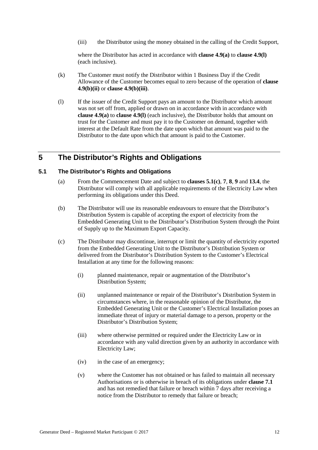(iii) the Distributor using the money obtained in the calling of the Credit Support,

where the Distributor has acted in accordance with **clause [4.9\(a\)](#page-12-0)** to **clause [4.9\(l\)](#page-14-1)** (each inclusive).

- (k) The Customer must notify the Distributor within 1 Business Day if the Credit Allowance of the Customer becomes equal to zero because of the operation of **clause [4.9\(b\)\(ii\)](#page-13-4)** or **clause [4.9\(b\)\(iii\)](#page-13-5)**.
- <span id="page-14-1"></span>(l) If the issuer of the Credit Support pays an amount to the Distributor which amount was not set off from, applied or drawn on in accordance with in accordance with **clause [4.9\(a\)](#page-12-0)** to **clause [4.9\(l\)](#page-14-1)** (each inclusive), the Distributor holds that amount on trust for the Customer and must pay it to the Customer on demand, together with interest at the Default Rate from the date upon which that amount was paid to the Distributor to the date upon which that amount is paid to the Customer.

### **5 The Distributor's Rights and Obligations**

### <span id="page-14-0"></span>**5.1 The Distributor's Rights and Obligations**

- (a) From the Commencement Date and subject to **clauses [5.1\(c\)](#page-14-2)**, **[7](#page-16-0)**, **[8](#page-20-0)**, **[9](#page-21-0)** and **[13.4](#page-25-0)**, the Distributor will comply with all applicable requirements of the Electricity Law when performing its obligations under this Deed.
- (b) The Distributor will use its reasonable endeavours to ensure that the Distributor's Distribution System is capable of accepting the export of electricity from the Embedded Generating Unit to the Distributor's Distribution System through the Point of Supply up to the Maximum Export Capacity.
- <span id="page-14-2"></span>(c) The Distributor may discontinue, interrupt or limit the quantity of electricity exported from the Embedded Generating Unit to the Distributor's Distribution System or delivered from the Distributor's Distribution System to the Customer's Electrical Installation at any time for the following reasons:
	- (i) planned maintenance, repair or augmentation of the Distributor's Distribution System;
	- (ii) unplanned maintenance or repair of the Distributor's Distribution System in circumstances where, in the reasonable opinion of the Distributor, the Embedded Generating Unit or the Customer's Electrical Installation poses an immediate threat of injury or material damage to a person, property or the Distributor's Distribution System;
	- (iii) where otherwise permitted or required under the Electricity Law or in accordance with any valid direction given by an authority in accordance with Electricity Law;
	- (iv) in the case of an emergency;
	- (v) where the Customer has not obtained or has failed to maintain all necessary Authorisations or is otherwise in breach of its obligations under **clause [7.1](#page-16-1)** and has not remedied that failure or breach within 7 days after receiving a notice from the Distributor to remedy that failure or breach;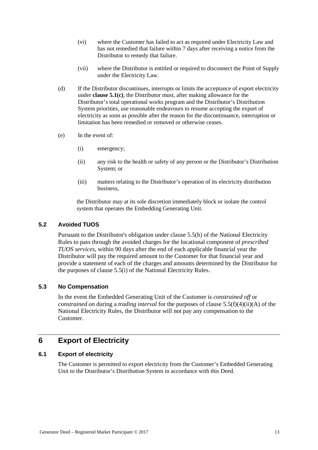- (vi) where the Customer has failed to act as required under Electricity Law and has not remedied that failure within 7 days after receiving a notice from the Distributor to remedy that failure.
- (vii) where the Distributor is entitled or required to disconnect the Point of Supply under the Electricity Law.
- (d) If the Distributor discontinues, interrupts or limits the acceptance of export electricity under **clause [5.1\(c\)](#page-14-2)**, the Distributor must, after making allowance for the Distributor's total operational works program and the Distributor's Distribution System priorities, use reasonable endeavours to resume accepting the export of electricity as soon as possible after the reason for the discontinuance, interruption or limitation has been remedied or removed or otherwise ceases.
- (e) In the event of:
	- (i) emergency;
	- (ii) any risk to the health or safety of any person or the Distributor's Distribution System; or
	- (iii) matters relating to the Distributor's operation of its electricity distribution business,

the Distributor may at its sole discretion immediately block or isolate the control system that operates the Embedding Generating Unit.

### **5.2 Avoided TUOS**

Pursuant to the Distributor's obligation under clause 5.5(h) of the National Electricity Rules to pass through the avoided charges for the locational component of *prescribed TUOS services*, within 90 days after the end of each applicable financial year the Distributor will pay the required amount to the Customer for that financial year and provide a statement of each of the charges and amounts determined by the Distributor for the purposes of clause 5.5(i) of the National Electricity Rules.

### **5.3 No Compensation**

In the event the Embedded Generating Unit of the Customer is *constrained off* or *constrained on* during a *trading interval* for the purposes of clause 5.5(f)(4)(ii)(A) of the National Electricity Rules, the Distributor will not pay any compensation to the Customer.

### **6 Export of Electricity**

### **6.1 Export of electricity**

The Customer is permitted to export electricity from the Customer's Embedded Generating Unit to the Distributor's Distribution System in accordance with this Deed.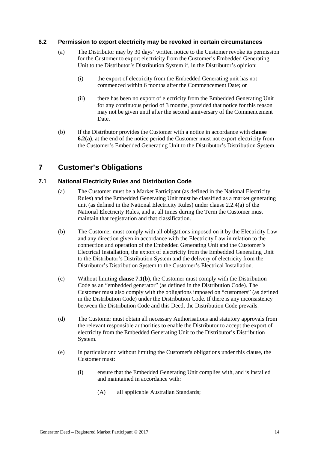### <span id="page-16-2"></span>**6.2 Permission to export electricity may be revoked in certain circumstances**

- (a) The Distributor may by 30 days' written notice to the Customer revoke its permission for the Customer to export electricity from the Customer's Embedded Generating Unit to the Distributor's Distribution System if, in the Distributor's opinion:
	- (i) the export of electricity from the Embedded Generating unit has not commenced within 6 months after the Commencement Date; or
	- (ii) there has been no export of electricity from the Embedded Generating Unit for any continuous period of 3 months, provided that notice for this reason may not be given until after the second anniversary of the Commencement Date.
- (b) If the Distributor provides the Customer with a notice in accordance with **clause [6.2\(a\)](#page-16-2)**, at the end of the notice period the Customer must not export electricity from the Customer's Embedded Generating Unit to the Distributor's Distribution System.

### <span id="page-16-0"></span>**7 Customer's Obligations**

### <span id="page-16-1"></span>**7.1 National Electricity Rules and Distribution Code**

- (a) The Customer must be a Market Participant (as defined in the National Electricity Rules) and the Embedded Generating Unit must be classified as a market generating unit (as defined in the National Electricity Rules) under clause 2.2.4(a) of the National Electricity Rules, and at all times during the Term the Customer must maintain that registration and that classification.
- <span id="page-16-3"></span>(b) The Customer must comply with all obligations imposed on it by the Electricity Law and any direction given in accordance with the Electricity Law in relation to the connection and operation of the Embedded Generating Unit and the Customer's Electrical Installation, the export of electricity from the Embedded Generating Unit to the Distributor's Distribution System and the delivery of electricity from the Distributor's Distribution System to the Customer's Electrical Installation.
- (c) Without limiting **clause [7.1\(b\)](#page-16-3)**, the Customer must comply with the Distribution Code as an "embedded generator" (as defined in the Distribution Code). The Customer must also comply with the obligations imposed on "customers" (as defined in the Distribution Code) under the Distribution Code. If there is any inconsistency between the Distribution Code and this Deed, the Distribution Code prevails.
- (d) The Customer must obtain all necessary Authorisations and statutory approvals from the relevant responsible authorities to enable the Distributor to accept the export of electricity from the Embedded Generating Unit to the Distributor's Distribution System.
- (e) In particular and without limiting the Customer's obligations under this clause, the Customer must:
	- (i) ensure that the Embedded Generating Unit complies with, and is installed and maintained in accordance with:
		- (A) all applicable Australian Standards;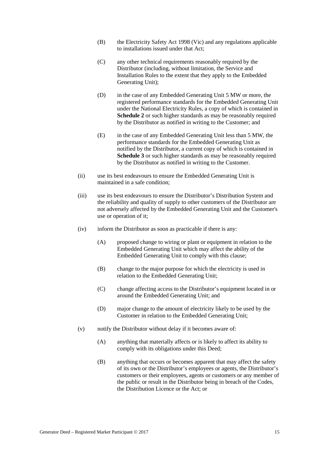- (B) the Electricity Safety Act 1998 (Vic) and any regulations applicable to installations issued under that Act;
- (C) any other technical requirements reasonably required by the Distributor (including, without limitation, the Service and Installation Rules to the extent that they apply to the Embedded Generating Unit);
- (D) in the case of any Embedded Generating Unit 5 MW or more, the registered performance standards for the Embedded Generating Unit under the National Electricity Rules, a copy of which is contained in **Schedule 2** or such higher standards as may be reasonably required by the Distributor as notified in writing to the Customer; and
- (E) in the case of any Embedded Generating Unit less than 5 MW, the performance standards for the Embedded Generating Unit as notified by the Distributor, a current copy of which is contained in **Schedule 3** or such higher standards as may be reasonably required by the Distributor as notified in writing to the Customer.
- (ii) use its best endeavours to ensure the Embedded Generating Unit is maintained in a safe condition;
- (iii) use its best endeavours to ensure the Distributor's Distribution System and the reliability and quality of supply to other customers of the Distributor are not adversely affected by the Embedded Generating Unit and the Customer's use or operation of it;
- (iv) inform the Distributor as soon as practicable if there is any:
	- (A) proposed change to wiring or plant or equipment in relation to the Embedded Generating Unit which may affect the ability of the Embedded Generating Unit to comply with this clause;
	- (B) change to the major purpose for which the electricity is used in relation to the Embedded Generating Unit;
	- (C) change affecting access to the Distributor's equipment located in or around the Embedded Generating Unit; and
	- (D) major change to the amount of electricity likely to be used by the Customer in relation to the Embedded Generating Unit;
- (v) notify the Distributor without delay if it becomes aware of:
	- (A) anything that materially affects or is likely to affect its ability to comply with its obligations under this Deed;
	- (B) anything that occurs or becomes apparent that may affect the safety of its own or the Distributor's employees or agents, the Distributor's customers or their employees, agents or customers or any member of the public or result in the Distributor being in breach of the Codes, the Distribution Licence or the Act; or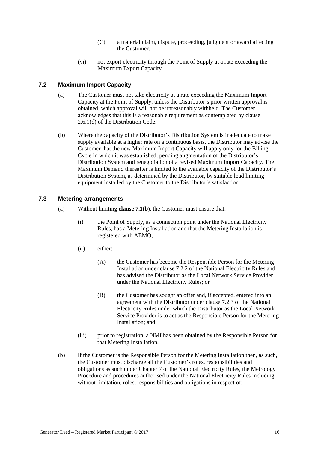- (C) a material claim, dispute, proceeding, judgment or award affecting the Customer.
- (vi) not export electricity through the Point of Supply at a rate exceeding the Maximum Export Capacity.

### **7.2 Maximum Import Capacity**

- (a) The Customer must not take electricity at a rate exceeding the Maximum Import Capacity at the Point of Supply, unless the Distributor's prior written approval is obtained, which approval will not be unreasonably withheld. The Customer acknowledges that this is a reasonable requirement as contemplated by clause 2.6.1(d) of the Distribution Code.
- (b) Where the capacity of the Distributor's Distribution System is inadequate to make supply available at a higher rate on a continuous basis, the Distributor may advise the Customer that the new Maximum Import Capacity will apply only for the Billing Cycle in which it was established, pending augmentation of the Distributor's Distribution System and renegotiation of a revised Maximum Import Capacity. The Maximum Demand thereafter is limited to the available capacity of the Distributor's Distribution System, as determined by the Distributor, by suitable load limiting equipment installed by the Customer to the Distributor's satisfaction.

### <span id="page-18-0"></span>**7.3 Metering arrangements**

- (a) Without limiting **clause [7.1\(b\)](#page-16-3)**, the Customer must ensure that:
	- (i) the Point of Supply, as a connection point under the National Electricity Rules, has a Metering Installation and that the Metering Installation is registered with AEMO;
	- (ii) either:
		- (A) the Customer has become the Responsible Person for the Metering Installation under clause 7.2.2 of the National Electricity Rules and has advised the Distributor as the Local Network Service Provider under the National Electricity Rules; or
		- (B) the Customer has sought an offer and, if accepted, entered into an agreement with the Distributor under clause 7.2.3 of the National Electricity Rules under which the Distributor as the Local Network Service Provider is to act as the Responsible Person for the Metering Installation; and
	- (iii) prior to registration, a NMI has been obtained by the Responsible Person for that Metering Installation.
- (b) If the Customer is the Responsible Person for the Metering Installation then, as such, the Customer must discharge all the Customer's roles, responsibilities and obligations as such under Chapter 7 of the National Electricity Rules, the Metrology Procedure and procedures authorised under the National Electricity Rules including, without limitation, roles, responsibilities and obligations in respect of: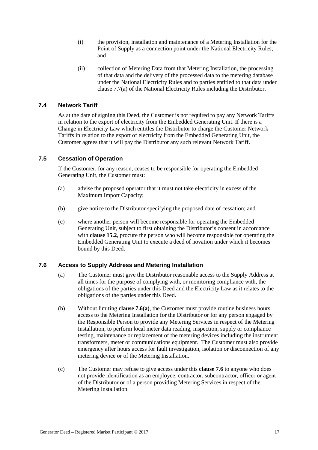- (i) the provision, installation and maintenance of a Metering Installation for the Point of Supply as a connection point under the National Electricity Rules; and
- (ii) collection of Metering Data from that Metering Installation, the processing of that data and the delivery of the processed data to the metering database under the National Electricity Rules and to parties entitled to that data under clause 7.7(a) of the National Electricity Rules including the Distributor.

### **7.4 Network Tariff**

As at the date of signing this Deed, the Customer is not required to pay any Network Tariffs in relation to the export of electricity from the Embedded Generating Unit. If there is a Change in Electricity Law which entitles the Distributor to charge the Customer Network Tariffs in relation to the export of electricity from the Embedded Generating Unit, the Customer agrees that it will pay the Distributor any such relevant Network Tariff.

### **7.5 Cessation of Operation**

If the Customer, for any reason, ceases to be responsible for operating the Embedded Generating Unit, the Customer must:

- (a) advise the proposed operator that it must not take electricity in excess of the Maximum Import Capacity;
- (b) give notice to the Distributor specifying the proposed date of cessation; and
- (c) where another person will become responsible for operating the Embedded Generating Unit, subject to first obtaining the Distributor's consent in accordance with **clause [15.2](#page-26-0)**, procure the person who will become responsible for operating the Embedded Generating Unit to execute a deed of novation under which it becomes bound by this Deed.

### <span id="page-19-1"></span><span id="page-19-0"></span>**7.6 Access to Supply Address and Metering Installation**

- (a) The Customer must give the Distributor reasonable access to the Supply Address at all times for the purpose of complying with, or monitoring compliance with, the obligations of the parties under this Deed and the Electricity Law as it relates to the obligations of the parties under this Deed.
- (b) Without limiting **clause [7.6\(a\)](#page-19-1)**, the Customer must provide routine business hours access to the Metering Installation for the Distributor or for any person engaged by the Responsible Person to provide any Metering Services in respect of the Metering Installation, to perform local meter data reading, inspection, supply or compliance testing, maintenance or replacement of the metering devices including the instrument transformers, meter or communications equipment. The Customer must also provide emergency after hours access for fault investigation, isolation or disconnection of any metering device or of the Metering Installation.
- (c) The Customer may refuse to give access under this **clause [7.6](#page-19-0)** to anyone who does not provide identification as an employee, contractor, subcontractor, officer or agent of the Distributor or of a person providing Metering Services in respect of the Metering Installation.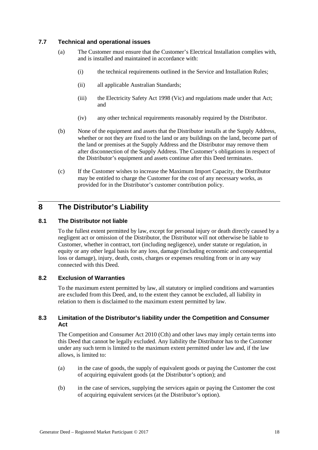### **7.7 Technical and operational issues**

- (a) The Customer must ensure that the Customer's Electrical Installation complies with, and is installed and maintained in accordance with:
	- (i) the technical requirements outlined in the Service and Installation Rules;
	- (ii) all applicable Australian Standards;
	- (iii) the Electricity Safety Act 1998 (Vic) and regulations made under that Act; and
	- (iv) any other technical requirements reasonably required by the Distributor.
- (b) None of the equipment and assets that the Distributor installs at the Supply Address, whether or not they are fixed to the land or any buildings on the land, become part of the land or premises at the Supply Address and the Distributor may remove them after disconnection of the Supply Address. The Customer's obligations in respect of the Distributor's equipment and assets continue after this Deed terminates.
- (c) If the Customer wishes to increase the Maximum Import Capacity, the Distributor may be entitled to charge the Customer for the cost of any necessary works, as provided for in the Distributor's customer contribution policy.

### <span id="page-20-0"></span>**8 The Distributor's Liability**

### **8.1 The Distributor not liable**

To the fullest extent permitted by law, except for personal injury or death directly caused by a negligent act or omission of the Distributor, the Distributor will not otherwise be liable to Customer, whether in contract, tort (including negligence), under statute or regulation, in equity or any other legal basis for any loss, damage (including economic and consequential loss or damage), injury, death, costs, charges or expenses resulting from or in any way connected with this Deed.

### **8.2 Exclusion of Warranties**

To the maximum extent permitted by law, all statutory or implied conditions and warranties are excluded from this Deed, and, to the extent they cannot be excluded, all liability in relation to them is disclaimed to the maximum extent permitted by law.

### **8.3 Limitation of the Distributor's liability under the Competition and Consumer Act**

The Competition and Consumer Act 2010 (Cth) and other laws may imply certain terms into this Deed that cannot be legally excluded. Any liability the Distributor has to the Customer under any such term is limited to the maximum extent permitted under law and, if the law allows, is limited to:

- (a) in the case of goods, the supply of equivalent goods or paying the Customer the cost of acquiring equivalent goods (at the Distributor's option); and
- (b) in the case of services, supplying the services again or paying the Customer the cost of acquiring equivalent services (at the Distributor's option).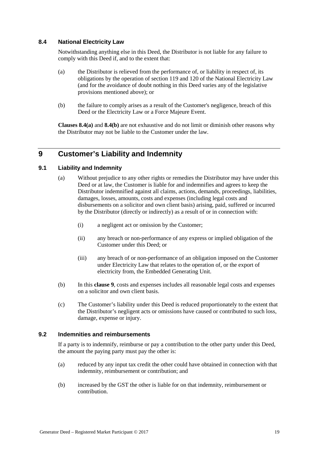### **8.4 National Electricity Law**

Notwithstanding anything else in this Deed, the Distributor is not liable for any failure to comply with this Deed if, and to the extent that:

- <span id="page-21-1"></span>(a) the Distributor is relieved from the performance of, or liability in respect of, its obligations by the operation of section 119 and 120 of the National Electricity Law (and for the avoidance of doubt nothing in this Deed varies any of the legislative provisions mentioned above); or
- <span id="page-21-2"></span>(b) the failure to comply arises as a result of the Customer's negligence, breach of this Deed or the Electricity Law or a Force Majeure Event.

**Clauses [8.4\(a\)](#page-21-1)** and **[8.4\(b\)](#page-21-2)** are not exhaustive and do not limit or diminish other reasons why the Distributor may not be liable to the Customer under the law.

### <span id="page-21-0"></span>**9 Customer's Liability and Indemnity**

### **9.1 Liability and Indemnity**

- (a) Without prejudice to any other rights or remedies the Distributor may have under this Deed or at law, the Customer is liable for and indemnifies and agrees to keep the Distributor indemnified against all claims, actions, demands, proceedings, liabilities, damages, losses, amounts, costs and expenses (including legal costs and disbursements on a solicitor and own client basis) arising, paid, suffered or incurred by the Distributor (directly or indirectly) as a result of or in connection with:
	- (i) a negligent act or omission by the Customer;
	- (ii) any breach or non-performance of any express or implied obligation of the Customer under this Deed; or
	- (iii) any breach of or non-performance of an obligation imposed on the Customer under Electricity Law that relates to the operation of, or the export of electricity from, the Embedded Generating Unit.
- (b) In this **clause [9](#page-21-0)**, costs and expenses includes all reasonable legal costs and expenses on a solicitor and own client basis.
- (c) The Customer's liability under this Deed is reduced proportionately to the extent that the Distributor's negligent acts or omissions have caused or contributed to such loss, damage, expense or injury.

### **9.2 Indemnities and reimbursements**

If a party is to indemnify, reimburse or pay a contribution to the other party under this Deed, the amount the paying party must pay the other is:

- (a) reduced by any input tax credit the other could have obtained in connection with that indemnity, reimbursement or contribution; and
- (b) increased by the GST the other is liable for on that indemnity, reimbursement or contribution.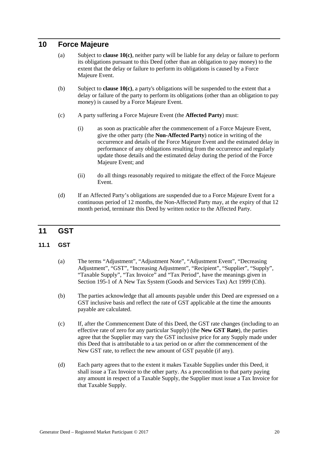### **10 Force Majeure**

- (a) Subject to **clause [10\(c\)](#page-22-0)**, neither party will be liable for any delay or failure to perform its obligations pursuant to this Deed (other than an obligation to pay money) to the extent that the delay or failure to perform its obligations is caused by a Force Majeure Event.
- (b) Subject to **clause [10\(c\)](#page-22-0)**, a party's obligations will be suspended to the extent that a delay or failure of the party to perform its obligations (other than an obligation to pay money) is caused by a Force Majeure Event.
- <span id="page-22-0"></span>(c) A party suffering a Force Majeure Event (the **Affected Party**) must:
	- (i) as soon as practicable after the commencement of a Force Majeure Event, give the other party (the **Non-Affected Party**) notice in writing of the occurrence and details of the Force Majeure Event and the estimated delay in performance of any obligations resulting from the occurrence and regularly update those details and the estimated delay during the period of the Force Majeure Event; and
	- (ii) do all things reasonably required to mitigate the effect of the Force Majeure Event.
- (d) If an Affected Party's obligations are suspended due to a Force Majeure Event for a continuous period of 12 months, the Non-Affected Party may, at the expiry of that 12 month period, terminate this Deed by written notice to the Affected Party.

### **11 GST**

### **11.1 GST**

- (a) The terms "Adjustment", "Adjustment Note", "Adjustment Event", "Decreasing Adjustment", "GST", "Increasing Adjustment", "Recipient", "Supplier", "Supply", "Taxable Supply", "Tax Invoice" and "Tax Period", have the meanings given in Section 195-1 of A New Tax System (Goods and Services Tax) Act 1999 (Cth).
- (b) The parties acknowledge that all amounts payable under this Deed are expressed on a GST inclusive basis and reflect the rate of GST applicable at the time the amounts payable are calculated.
- (c) If, after the Commencement Date of this Deed, the GST rate changes (including to an effective rate of zero for any particular Supply) (the **New GST Rate**), the parties agree that the Supplier may vary the GST inclusive price for any Supply made under this Deed that is attributable to a tax period on or after the commencement of the New GST rate, to reflect the new amount of GST payable (if any).
- (d) Each party agrees that to the extent it makes Taxable Supplies under this Deed, it shall issue a Tax Invoice to the other party. As a precondition to that party paying any amount in respect of a Taxable Supply, the Supplier must issue a Tax Invoice for that Taxable Supply.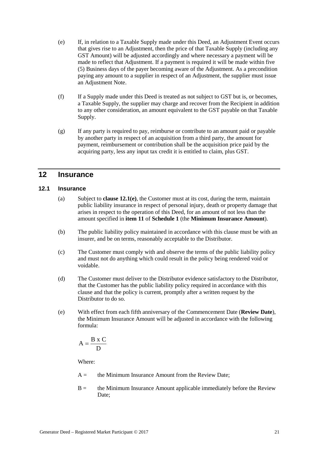- (e) If, in relation to a Taxable Supply made under this Deed, an Adjustment Event occurs that gives rise to an Adjustment, then the price of that Taxable Supply (including any GST Amount) will be adjusted accordingly and where necessary a payment will be made to reflect that Adjustment. If a payment is required it will be made within five (5) Business days of the payer becoming aware of the Adjustment. As a precondition paying any amount to a supplier in respect of an Adjustment, the supplier must issue an Adjustment Note.
- (f) If a Supply made under this Deed is treated as not subject to GST but is, or becomes, a Taxable Supply, the supplier may charge and recover from the Recipient in addition to any other consideration, an amount equivalent to the GST payable on that Taxable Supply.
- (g) If any party is required to pay, reimburse or contribute to an amount paid or payable by another party in respect of an acquisition from a third party, the amount for payment, reimbursement or contribution shall be the acquisition price paid by the acquiring party, less any input tax credit it is entitled to claim, plus GST.

### **12 Insurance**

### **12.1 Insurance**

- (a) Subject to **clause [12.1\(e\)](#page-23-0)**, the Customer must at its cost, during the term, maintain public liability insurance in respect of personal injury, death or property damage that arises in respect to the operation of this Deed, for an amount of not less than the amount specified in **item 11** of **Schedule 1** (the **Minimum Insurance Amount**).
- (b) The public liability policy maintained in accordance with this clause must be with an insurer, and be on terms, reasonably acceptable to the Distributor.
- (c) The Customer must comply with and observe the terms of the public liability policy and must not do anything which could result in the policy being rendered void or voidable.
- (d) The Customer must deliver to the Distributor evidence satisfactory to the Distributor, that the Customer has the public liability policy required in accordance with this clause and that the policy is current, promptly after a written request by the Distributor to do so.
- <span id="page-23-0"></span>(e) With effect from each fifth anniversary of the Commencement Date (**Review Date**), the Minimum Insurance Amount will be adjusted in accordance with the following formula:

$$
A = \frac{B \times C}{D}
$$

Where:

- $A =$  the Minimum Insurance Amount from the Review Date;
- $B =$  the Minimum Insurance Amount applicable immediately before the Review Date: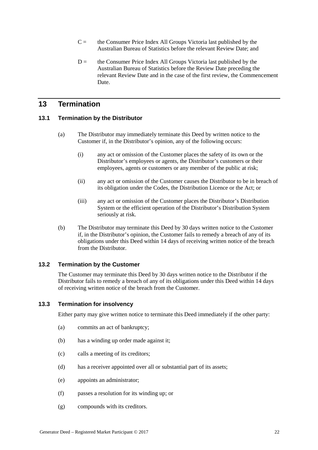- $C =$  the Consumer Price Index All Groups Victoria last published by the Australian Bureau of Statistics before the relevant Review Date; and
- $D =$  the Consumer Price Index All Groups Victoria last published by the Australian Bureau of Statistics before the Review Date preceding the relevant Review Date and in the case of the first review, the Commencement Date.

### **13 Termination**

### **13.1 Termination by the Distributor**

- (a) The Distributor may immediately terminate this Deed by written notice to the Customer if, in the Distributor's opinion, any of the following occurs:
	- (i) any act or omission of the Customer places the safety of its own or the Distributor's employees or agents, the Distributor's customers or their employees, agents or customers or any member of the public at risk;
	- (ii) any act or omission of the Customer causes the Distributor to be in breach of its obligation under the Codes, the Distribution Licence or the Act; or
	- (iii) any act or omission of the Customer places the Distributor's Distribution System or the efficient operation of the Distributor's Distribution System seriously at risk.
- (b) The Distributor may terminate this Deed by 30 days written notice to the Customer if, in the Distributor's opinion, the Customer fails to remedy a breach of any of its obligations under this Deed within 14 days of receiving written notice of the breach from the Distributor.

### **13.2 Termination by the Customer**

The Customer may terminate this Deed by 30 days written notice to the Distributor if the Distributor fails to remedy a breach of any of its obligations under this Deed within 14 days of receiving written notice of the breach from the Customer.

### <span id="page-24-0"></span>**13.3 Termination for insolvency**

Either party may give written notice to terminate this Deed immediately if the other party:

- (a) commits an act of bankruptcy;
- (b) has a winding up order made against it;
- (c) calls a meeting of its creditors;
- (d) has a receiver appointed over all or substantial part of its assets;
- (e) appoints an administrator;
- (f) passes a resolution for its winding up; or
- (g) compounds with its creditors.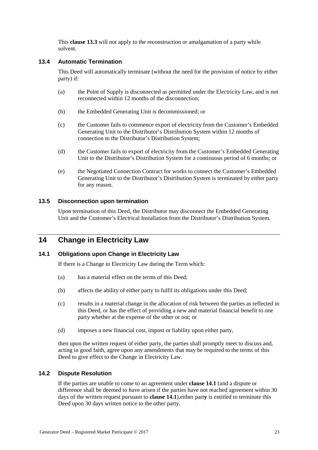This **clause [13.3](#page-24-0)** will not apply to the reconstruction or amalgamation of a party while solvent.

### <span id="page-25-0"></span>**13.4 Automatic Termination**

This Deed will automatically terminate (without the need for the provision of notice by either party) if:

- (a) the Point of Supply is disconnected as permitted under the Electricity Law, and is not reconnected within 12 months of the disconnection;
- (b) the Embedded Generating Unit is decommissioned; or
- (c) the Customer fails to commence export of electricity from the Customer's Embedded Generating Unit to the Distributor's Distribution System within 12 months of connection to the Distributor's Distribution System;
- (d) the Customer fails to export of electricity from the Customer's Embedded Generating Unit to the Distributor's Distribution System for a continuous period of 6 months; or
- (e) the Negotiated Connection Contract for works to connect the Customer's Embedded Generating Unit to the Distributor's Distribution System is terminated by either party for any reason.

### **13.5 Disconnection upon termination**

Upon termination of this Deed, the Distributor may disconnect the Embedded Generating Unit and the Customer's Electrical Installation from the Distributor's Distribution System.

### **14 Change in Electricity Law**

### <span id="page-25-1"></span>**14.1 Obligations upon Change in Electricity Law**

If there is a Change in Electricity Law during the Term which:

- (a) has a material effect on the terms of this Deed;
- (b) affects the ability of either party to fulfil its obligations under this Deed;
- (c) results in a material change in the allocation of risk between the parties as reflected in this Deed, or has the effect of providing a new and material financial benefit to one party whether at the expense of the other or not; or
- (d) imposes a new financial cost, impost or liability upon either party,

then upon the written request of either party, the parties shall promptly meet to discuss and, acting in good faith, agree upon any amendments that may be required to the terms of this Deed to give effect to the Change in Electricity Law.

### **14.2 Dispute Resolution**

If the parties are unable to come to an agreement under **clause [14.1](#page-25-1)** (and a dispute or difference shall be deemed to have arisen if the parties have not reached agreement within 30 days of the written request pursuant to **clause [14.1](#page-25-1)**),either part**y** is entitled to terminate this Deed upon 30 days written notice to the other party.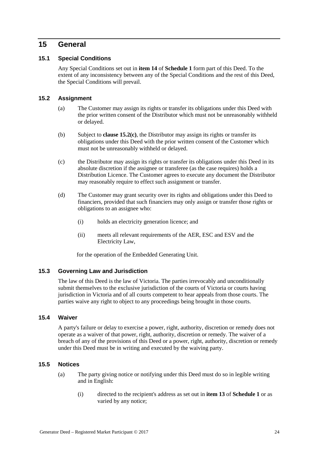### **15 General**

### **15.1 Special Conditions**

Any Special Conditions set out in **item 14** of **Schedule 1** form part of this Deed. To the extent of any inconsistency between any of the Special Conditions and the rest of this Deed, the Special Conditions will prevail.

### <span id="page-26-0"></span>**15.2 Assignment**

- (a) The Customer may assign its rights or transfer its obligations under this Deed with the prior written consent of the Distributor which must not be unreasonably withheld or delayed.
- (b) Subject to **clause [15.2\(c\)](#page-26-1)**, the Distributor may assign its rights or transfer its obligations under this Deed with the prior written consent of the Customer which must not be unreasonably withheld or delayed.
- <span id="page-26-1"></span>(c) the Distributor may assign its rights or transfer its obligations under this Deed in its absolute discretion if the assignee or transferee (as the case requires) holds a Distribution Licence. The Customer agrees to execute any document the Distributor may reasonably require to effect such assignment or transfer.
- (d) The Customer may grant security over its rights and obligations under this Deed to financiers, provided that such financiers may only assign or transfer those rights or obligations to an assignee who:
	- (i) holds an electricity generation licence; and
	- (ii) meets all relevant requirements of the AER, ESC and ESV and the Electricity Law,

for the operation of the Embedded Generating Unit.

### **15.3 Governing Law and Jurisdiction**

The law of this Deed is the law of Victoria. The parties irrevocably and unconditionally submit themselves to the exclusive jurisdiction of the courts of Victoria or courts having jurisdiction in Victoria and of all courts competent to hear appeals from those courts. The parties waive any right to object to any proceedings being brought in those courts.

### **15.4 Waiver**

A party's failure or delay to exercise a power, right, authority, discretion or remedy does not operate as a waiver of that power, right, authority, discretion or remedy. The waiver of a breach of any of the provisions of this Deed or a power, right, authority, discretion or remedy under this Deed must be in writing and executed by the waiving party.

### <span id="page-26-2"></span>**15.5 Notices**

- (a) The party giving notice or notifying under this Deed must do so in legible writing and in English:
	- (i) directed to the recipient's address as set out in **item 13** of **Schedule 1** or as varied by any notice;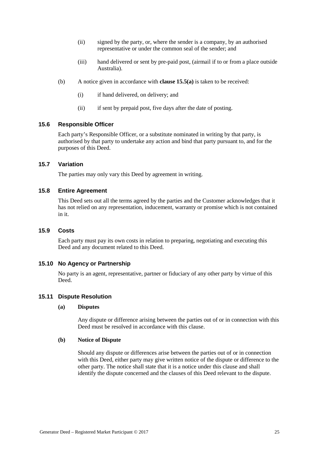- (ii) signed by the party, or, where the sender is a company, by an authorised representative or under the common seal of the sender; and
- (iii) hand delivered or sent by pre-paid post, (airmail if to or from a place outside Australia).
- (b) A notice given in accordance with **clause [15.5\(a\)](#page-26-2)** is taken to be received:
	- (i) if hand delivered, on delivery; and
	- (ii) if sent by prepaid post, five days after the date of posting.

#### **15.6 Responsible Officer**

Each party's Responsible Officer, or a substitute nominated in writing by that party, is authorised by that party to undertake any action and bind that party pursuant to, and for the purposes of this Deed.

### **15.7 Variation**

The parties may only vary this Deed by agreement in writing.

### **15.8 Entire Agreement**

This Deed sets out all the terms agreed by the parties and the Customer acknowledges that it has not relied on any representation, inducement, warranty or promise which is not contained in it.

### **15.9 Costs**

Each party must pay its own costs in relation to preparing, negotiating and executing this Deed and any document related to this Deed.

#### **15.10 No Agency or Partnership**

No party is an agent, representative, partner or fiduciary of any other party by virtue of this Deed.

### <span id="page-27-0"></span>**15.11 Dispute Resolution**

#### **(a) Disputes**

Any dispute or difference arising between the parties out of or in connection with this Deed must be resolved in accordance with this clause.

#### <span id="page-27-1"></span>**(b) Notice of Dispute**

Should any dispute or differences arise between the parties out of or in connection with this Deed, either party may give written notice of the dispute or difference to the other party. The notice shall state that it is a notice under this clause and shall identify the dispute concerned and the clauses of this Deed relevant to the dispute.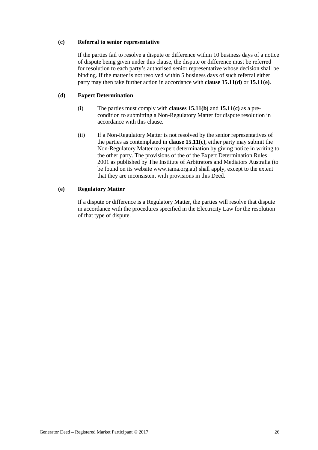### <span id="page-28-2"></span>**(c) Referral to senior representative**

If the parties fail to resolve a dispute or difference within 10 business days of a notice of dispute being given under this clause, the dispute or difference must be referred for resolution to each party's authorised senior representative whose decision shall be binding. If the matter is not resolved within 5 business days of such referral either party may then take further action in accordance with **clause [15.11\(d\)](#page-28-0)** or **[15.11\(e\)](#page-28-1)**.

### <span id="page-28-0"></span>**(d) Expert Determination**

- (i) The parties must comply with **clauses [15.11\(b\)](#page-27-1)** and **[15.11\(c\)](#page-28-2)** as a precondition to submitting a Non-Regulatory Matter for dispute resolution in accordance with this clause.
- (ii) If a Non-Regulatory Matter is not resolved by the senior representatives of the parties as contemplated in **clause [15.11\(c\)](#page-28-2)**, either party may submit the Non-Regulatory Matter to expert determination by giving notice in writing to the other party. The provisions of the of the Expert Determination Rules 2001 as published by The Institute of Arbitrators and Mediators Australia (to be found on its website www.iama.org.au) shall apply, except to the extent that they are inconsistent with provisions in this Deed.

### <span id="page-28-1"></span>**(e) Regulatory Matter**

If a dispute or difference is a Regulatory Matter, the parties will resolve that dispute in accordance with the procedures specified in the Electricity Law for the resolution of that type of dispute.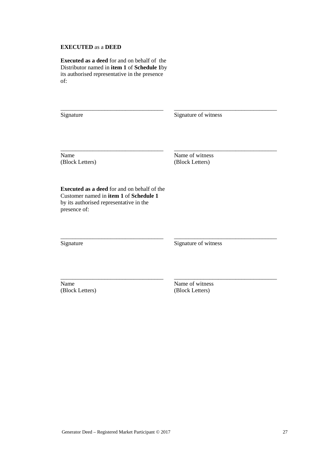### **EXECUTED** as a **DEED**

**Executed as a deed** for and on behalf of the Distributor named in **item 1** of **Schedule 1**by its authorised representative in the presence of:

\_\_\_\_\_\_\_\_\_\_\_\_\_\_\_\_\_\_\_\_\_\_\_\_\_\_\_\_\_\_\_\_\_\_\_ Signature

Signature of witness

\_\_\_\_\_\_\_\_\_\_\_\_\_\_\_\_\_\_\_\_\_\_\_\_\_\_\_\_\_\_\_\_\_\_\_

\_\_\_\_\_\_\_\_\_\_\_\_\_\_\_\_\_\_\_\_\_\_\_\_\_\_\_\_\_\_\_\_\_\_\_

\_\_\_\_\_\_\_\_\_\_\_\_\_\_\_\_\_\_\_\_\_\_\_\_\_\_\_\_\_\_\_\_\_\_\_

\_\_\_\_\_\_\_\_\_\_\_\_\_\_\_\_\_\_\_\_\_\_\_\_\_\_\_\_\_\_\_\_\_\_\_

Name (Block Letters) Name of witness (Block Letters)

**Executed as a deed** for and on behalf of the Customer named in **item 1** of **Schedule 1** by its authorised representative in the presence of:

\_\_\_\_\_\_\_\_\_\_\_\_\_\_\_\_\_\_\_\_\_\_\_\_\_\_\_\_\_\_\_\_\_\_\_

\_\_\_\_\_\_\_\_\_\_\_\_\_\_\_\_\_\_\_\_\_\_\_\_\_\_\_\_\_\_\_\_\_\_\_

\_\_\_\_\_\_\_\_\_\_\_\_\_\_\_\_\_\_\_\_\_\_\_\_\_\_\_\_\_\_\_\_\_\_\_

Signature

Signature of witness

Name (Block Letters) Name of witness (Block Letters)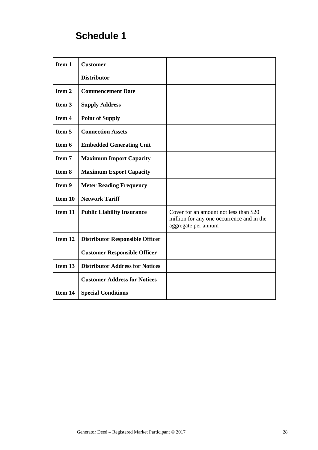# **Schedule 1**

| Item 1  | <b>Customer</b>                        |                                                                                                            |
|---------|----------------------------------------|------------------------------------------------------------------------------------------------------------|
|         | <b>Distributor</b>                     |                                                                                                            |
| Item 2  | <b>Commencement Date</b>               |                                                                                                            |
| Item 3  | <b>Supply Address</b>                  |                                                                                                            |
| Item 4  | <b>Point of Supply</b>                 |                                                                                                            |
| Item 5  | <b>Connection Assets</b>               |                                                                                                            |
| Item 6  | <b>Embedded Generating Unit</b>        |                                                                                                            |
| Item 7  | <b>Maximum Import Capacity</b>         |                                                                                                            |
| Item 8  | <b>Maximum Export Capacity</b>         |                                                                                                            |
| Item 9  | <b>Meter Reading Frequency</b>         |                                                                                                            |
| Item 10 | <b>Network Tariff</b>                  |                                                                                                            |
| Item 11 | <b>Public Liability Insurance</b>      | Cover for an amount not less than \$20<br>million for any one occurrence and in the<br>aggregate per annum |
| Item 12 | <b>Distributor Responsible Officer</b> |                                                                                                            |
|         | <b>Customer Responsible Officer</b>    |                                                                                                            |
| Item 13 | <b>Distributor Address for Notices</b> |                                                                                                            |
|         | <b>Customer Address for Notices</b>    |                                                                                                            |
| Item 14 | <b>Special Conditions</b>              |                                                                                                            |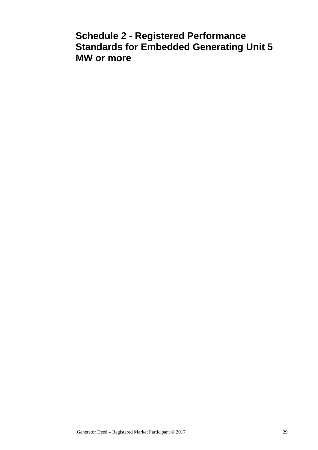## **Schedule 2 - Registered Performance Standards for Embedded Generating Unit 5 MW or more**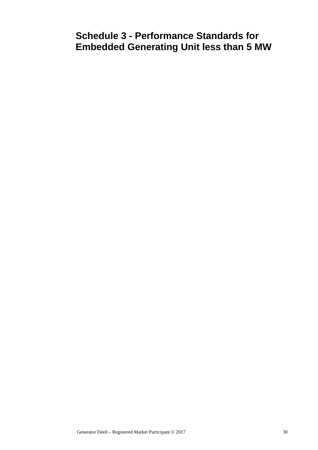# **Schedule 3 - Performance Standards for Embedded Generating Unit less than 5 MW**